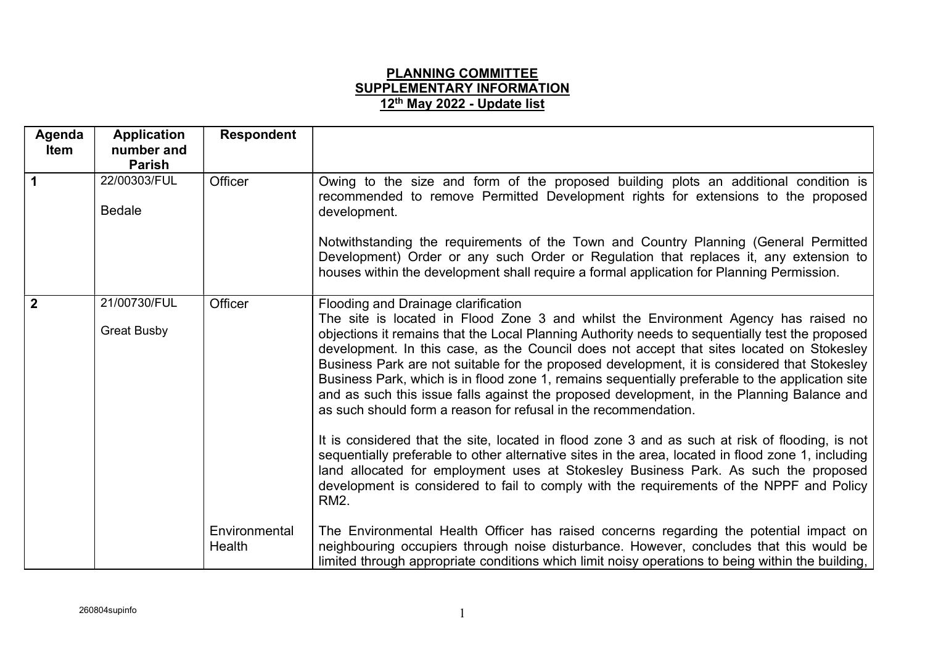## PLANNING COMMITTEE SUPPLEMENTARY INFORMATION 12<sup>th</sup> May 2022 - Update list

| Agenda<br><b>Item</b> | <b>Application</b><br>number and<br><b>Parish</b> | <b>Respondent</b>       |                                                                                                                                                                                                                                                                                                                                                                                                                                                                                                                                                                                                                                                                                                                                                                                                                                                                                                                                                                                                                                                                                                     |
|-----------------------|---------------------------------------------------|-------------------------|-----------------------------------------------------------------------------------------------------------------------------------------------------------------------------------------------------------------------------------------------------------------------------------------------------------------------------------------------------------------------------------------------------------------------------------------------------------------------------------------------------------------------------------------------------------------------------------------------------------------------------------------------------------------------------------------------------------------------------------------------------------------------------------------------------------------------------------------------------------------------------------------------------------------------------------------------------------------------------------------------------------------------------------------------------------------------------------------------------|
|                       | 22/00303/FUL<br><b>Bedale</b>                     | Officer                 | Owing to the size and form of the proposed building plots an additional condition is<br>recommended to remove Permitted Development rights for extensions to the proposed<br>development.                                                                                                                                                                                                                                                                                                                                                                                                                                                                                                                                                                                                                                                                                                                                                                                                                                                                                                           |
|                       |                                                   |                         | Notwithstanding the requirements of the Town and Country Planning (General Permitted<br>Development) Order or any such Order or Regulation that replaces it, any extension to<br>houses within the development shall require a formal application for Planning Permission.                                                                                                                                                                                                                                                                                                                                                                                                                                                                                                                                                                                                                                                                                                                                                                                                                          |
| $\overline{2}$        | 21/00730/FUL<br><b>Great Busby</b>                | Officer                 | Flooding and Drainage clarification<br>The site is located in Flood Zone 3 and whilst the Environment Agency has raised no<br>objections it remains that the Local Planning Authority needs to sequentially test the proposed<br>development. In this case, as the Council does not accept that sites located on Stokesley<br>Business Park are not suitable for the proposed development, it is considered that Stokesley<br>Business Park, which is in flood zone 1, remains sequentially preferable to the application site<br>and as such this issue falls against the proposed development, in the Planning Balance and<br>as such should form a reason for refusal in the recommendation.<br>It is considered that the site, located in flood zone 3 and as such at risk of flooding, is not<br>sequentially preferable to other alternative sites in the area, located in flood zone 1, including<br>land allocated for employment uses at Stokesley Business Park. As such the proposed<br>development is considered to fail to comply with the requirements of the NPPF and Policy<br>RM2. |
|                       |                                                   | Environmental<br>Health | The Environmental Health Officer has raised concerns regarding the potential impact on<br>neighbouring occupiers through noise disturbance. However, concludes that this would be<br>limited through appropriate conditions which limit noisy operations to being within the building,                                                                                                                                                                                                                                                                                                                                                                                                                                                                                                                                                                                                                                                                                                                                                                                                              |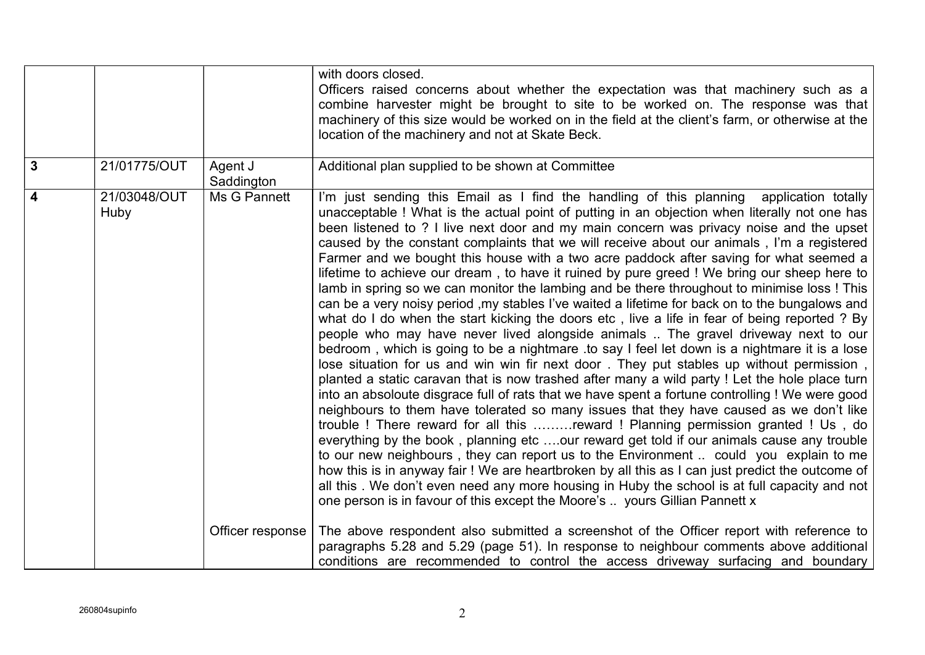|                         |                             |                       | with doors closed.<br>Officers raised concerns about whether the expectation was that machinery such as a<br>combine harvester might be brought to site to be worked on. The response was that<br>machinery of this size would be worked on in the field at the client's farm, or otherwise at the<br>location of the machinery and not at Skate Beck.                                                                                                                                                                                                                                                                                                                                                                                                                                                                                                                                                                                                                                                                                                                                                                                                                                                                                                                                                                                                                                                                                                                                                                                                                                                                                                                                                                                                                                                                                                                                                                                                                                                                        |
|-------------------------|-----------------------------|-----------------------|-------------------------------------------------------------------------------------------------------------------------------------------------------------------------------------------------------------------------------------------------------------------------------------------------------------------------------------------------------------------------------------------------------------------------------------------------------------------------------------------------------------------------------------------------------------------------------------------------------------------------------------------------------------------------------------------------------------------------------------------------------------------------------------------------------------------------------------------------------------------------------------------------------------------------------------------------------------------------------------------------------------------------------------------------------------------------------------------------------------------------------------------------------------------------------------------------------------------------------------------------------------------------------------------------------------------------------------------------------------------------------------------------------------------------------------------------------------------------------------------------------------------------------------------------------------------------------------------------------------------------------------------------------------------------------------------------------------------------------------------------------------------------------------------------------------------------------------------------------------------------------------------------------------------------------------------------------------------------------------------------------------------------------|
| $\mathbf{3}$            | 21/01775/OUT                | Agent J<br>Saddington | Additional plan supplied to be shown at Committee                                                                                                                                                                                                                                                                                                                                                                                                                                                                                                                                                                                                                                                                                                                                                                                                                                                                                                                                                                                                                                                                                                                                                                                                                                                                                                                                                                                                                                                                                                                                                                                                                                                                                                                                                                                                                                                                                                                                                                             |
| $\overline{\mathbf{4}}$ | 21/03048/OUT<br><b>Huby</b> | Ms G Pannett          | I'm just sending this Email as I find the handling of this planning application totally<br>unacceptable ! What is the actual point of putting in an objection when literally not one has<br>been listened to ? I live next door and my main concern was privacy noise and the upset<br>caused by the constant complaints that we will receive about our animals, I'm a registered<br>Farmer and we bought this house with a two acre paddock after saving for what seemed a<br>lifetime to achieve our dream, to have it ruined by pure greed ! We bring our sheep here to<br>lamb in spring so we can monitor the lambing and be there throughout to minimise loss ! This<br>can be a very noisy period, my stables I've waited a lifetime for back on to the bungalows and<br>what do I do when the start kicking the doors etc, live a life in fear of being reported ? By<br>people who may have never lived alongside animals  The gravel driveway next to our<br>bedroom, which is going to be a nightmare to say I feel let down is a nightmare it is a lose<br>lose situation for us and win win fir next door. They put stables up without permission,<br>planted a static caravan that is now trashed after many a wild party ! Let the hole place turn<br>into an absoloute disgrace full of rats that we have spent a fortune controlling ! We were good<br>neighbours to them have tolerated so many issues that they have caused as we don't like<br>trouble ! There reward for all this reward ! Planning permission granted ! Us, do<br>everything by the book, planning etc our reward get told if our animals cause any trouble<br>to our new neighbours, they can report us to the Environment  could you explain to me<br>how this is in anyway fair ! We are heartbroken by all this as I can just predict the outcome of<br>all this. We don't even need any more housing in Huby the school is at full capacity and not<br>one person is in favour of this except the Moore's  yours Gillian Pannett x |
|                         |                             | Officer response      | The above respondent also submitted a screenshot of the Officer report with reference to<br>paragraphs 5.28 and 5.29 (page 51). In response to neighbour comments above additional<br>conditions are recommended to control the access driveway surfacing and boundary                                                                                                                                                                                                                                                                                                                                                                                                                                                                                                                                                                                                                                                                                                                                                                                                                                                                                                                                                                                                                                                                                                                                                                                                                                                                                                                                                                                                                                                                                                                                                                                                                                                                                                                                                        |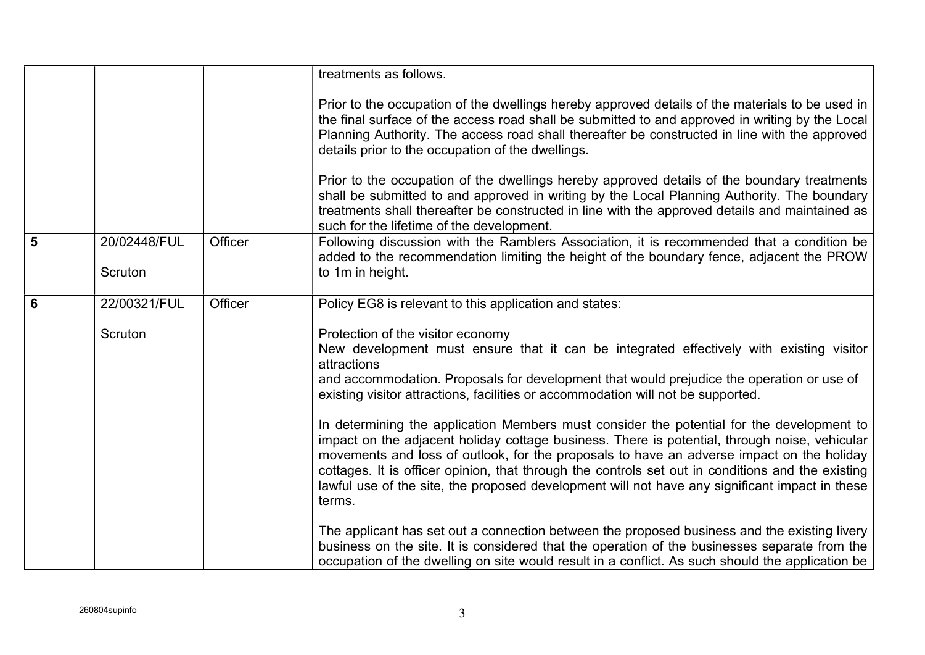|   |                         |         | treatments as follows.                                                                                                                                                                                                                                                                                                                                                                                                                                                                                                                                                                                                                                                                                                                                                                                                                   |
|---|-------------------------|---------|------------------------------------------------------------------------------------------------------------------------------------------------------------------------------------------------------------------------------------------------------------------------------------------------------------------------------------------------------------------------------------------------------------------------------------------------------------------------------------------------------------------------------------------------------------------------------------------------------------------------------------------------------------------------------------------------------------------------------------------------------------------------------------------------------------------------------------------|
|   |                         |         | Prior to the occupation of the dwellings hereby approved details of the materials to be used in<br>the final surface of the access road shall be submitted to and approved in writing by the Local<br>Planning Authority. The access road shall thereafter be constructed in line with the approved<br>details prior to the occupation of the dwellings.                                                                                                                                                                                                                                                                                                                                                                                                                                                                                 |
|   |                         |         | Prior to the occupation of the dwellings hereby approved details of the boundary treatments<br>shall be submitted to and approved in writing by the Local Planning Authority. The boundary<br>treatments shall thereafter be constructed in line with the approved details and maintained as<br>such for the lifetime of the development.                                                                                                                                                                                                                                                                                                                                                                                                                                                                                                |
| 5 | 20/02448/FUL<br>Scruton | Officer | Following discussion with the Ramblers Association, it is recommended that a condition be<br>added to the recommendation limiting the height of the boundary fence, adjacent the PROW<br>to 1m in height.                                                                                                                                                                                                                                                                                                                                                                                                                                                                                                                                                                                                                                |
| 6 | 22/00321/FUL            | Officer | Policy EG8 is relevant to this application and states:                                                                                                                                                                                                                                                                                                                                                                                                                                                                                                                                                                                                                                                                                                                                                                                   |
|   | Scruton                 |         | Protection of the visitor economy<br>New development must ensure that it can be integrated effectively with existing visitor<br>attractions<br>and accommodation. Proposals for development that would prejudice the operation or use of<br>existing visitor attractions, facilities or accommodation will not be supported.<br>In determining the application Members must consider the potential for the development to<br>impact on the adjacent holiday cottage business. There is potential, through noise, vehicular<br>movements and loss of outlook, for the proposals to have an adverse impact on the holiday<br>cottages. It is officer opinion, that through the controls set out in conditions and the existing<br>lawful use of the site, the proposed development will not have any significant impact in these<br>terms. |
|   |                         |         | The applicant has set out a connection between the proposed business and the existing livery<br>business on the site. It is considered that the operation of the businesses separate from the<br>occupation of the dwelling on site would result in a conflict. As such should the application be                                                                                                                                                                                                                                                                                                                                                                                                                                                                                                                                        |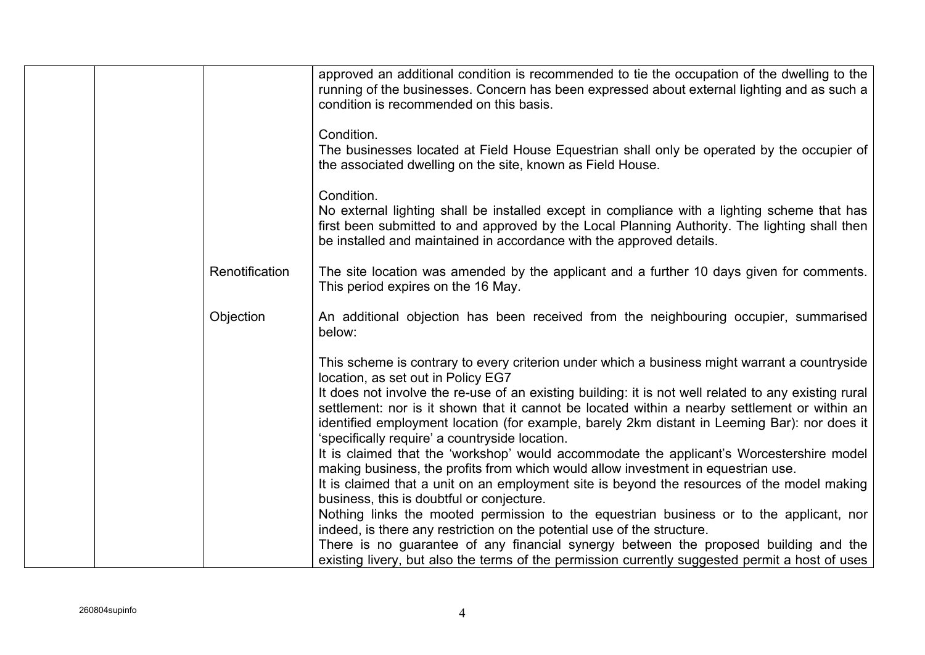|                | approved an additional condition is recommended to tie the occupation of the dwelling to the<br>running of the businesses. Concern has been expressed about external lighting and as such a<br>condition is recommended on this basis.                                                                                                                  |
|----------------|---------------------------------------------------------------------------------------------------------------------------------------------------------------------------------------------------------------------------------------------------------------------------------------------------------------------------------------------------------|
|                | Condition.<br>The businesses located at Field House Equestrian shall only be operated by the occupier of<br>the associated dwelling on the site, known as Field House.                                                                                                                                                                                  |
|                | Condition.<br>No external lighting shall be installed except in compliance with a lighting scheme that has<br>first been submitted to and approved by the Local Planning Authority. The lighting shall then<br>be installed and maintained in accordance with the approved details.                                                                     |
| Renotification | The site location was amended by the applicant and a further 10 days given for comments.<br>This period expires on the 16 May.                                                                                                                                                                                                                          |
| Objection      | An additional objection has been received from the neighbouring occupier, summarised<br>below:                                                                                                                                                                                                                                                          |
|                | This scheme is contrary to every criterion under which a business might warrant a countryside<br>location, as set out in Policy EG7                                                                                                                                                                                                                     |
|                | It does not involve the re-use of an existing building: it is not well related to any existing rural<br>settlement: nor is it shown that it cannot be located within a nearby settlement or within an<br>identified employment location (for example, barely 2km distant in Leeming Bar): nor does it<br>'specifically require' a countryside location. |
|                | It is claimed that the 'workshop' would accommodate the applicant's Worcestershire model<br>making business, the profits from which would allow investment in equestrian use.<br>It is claimed that a unit on an employment site is beyond the resources of the model making<br>business, this is doubtful or conjecture.                               |
|                | Nothing links the mooted permission to the equestrian business or to the applicant, nor<br>indeed, is there any restriction on the potential use of the structure.                                                                                                                                                                                      |
|                | There is no guarantee of any financial synergy between the proposed building and the<br>existing livery, but also the terms of the permission currently suggested permit a host of uses                                                                                                                                                                 |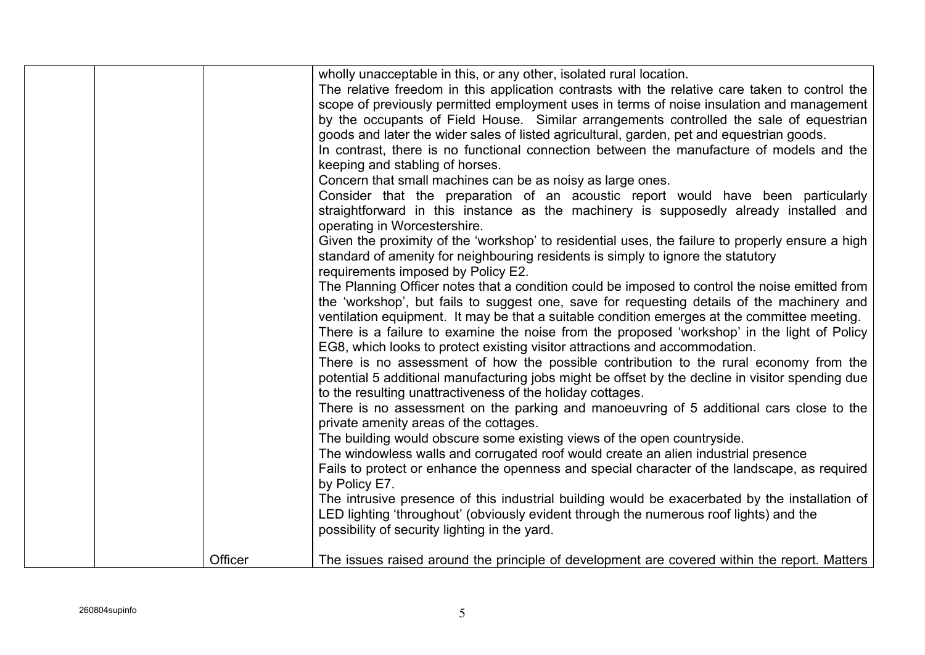|  |         | wholly unacceptable in this, or any other, isolated rural location.                              |
|--|---------|--------------------------------------------------------------------------------------------------|
|  |         | The relative freedom in this application contrasts with the relative care taken to control the   |
|  |         | scope of previously permitted employment uses in terms of noise insulation and management        |
|  |         | by the occupants of Field House. Similar arrangements controlled the sale of equestrian          |
|  |         | goods and later the wider sales of listed agricultural, garden, pet and equestrian goods.        |
|  |         | In contrast, there is no functional connection between the manufacture of models and the         |
|  |         | keeping and stabling of horses.                                                                  |
|  |         | Concern that small machines can be as noisy as large ones.                                       |
|  |         | Consider that the preparation of an acoustic report would have been particularly                 |
|  |         |                                                                                                  |
|  |         | straightforward in this instance as the machinery is supposedly already installed and            |
|  |         | operating in Worcestershire.                                                                     |
|  |         | Given the proximity of the 'workshop' to residential uses, the failure to properly ensure a high |
|  |         | standard of amenity for neighbouring residents is simply to ignore the statutory                 |
|  |         | requirements imposed by Policy E2.                                                               |
|  |         | The Planning Officer notes that a condition could be imposed to control the noise emitted from   |
|  |         | the 'workshop', but fails to suggest one, save for requesting details of the machinery and       |
|  |         | ventilation equipment. It may be that a suitable condition emerges at the committee meeting.     |
|  |         | There is a failure to examine the noise from the proposed 'workshop' in the light of Policy      |
|  |         | EG8, which looks to protect existing visitor attractions and accommodation.                      |
|  |         | There is no assessment of how the possible contribution to the rural economy from the            |
|  |         | potential 5 additional manufacturing jobs might be offset by the decline in visitor spending due |
|  |         | to the resulting unattractiveness of the holiday cottages.                                       |
|  |         | There is no assessment on the parking and manoeuvring of 5 additional cars close to the          |
|  |         | private amenity areas of the cottages.                                                           |
|  |         | The building would obscure some existing views of the open countryside.                          |
|  |         | The windowless walls and corrugated roof would create an alien industrial presence               |
|  |         | Fails to protect or enhance the openness and special character of the landscape, as required     |
|  |         | by Policy E7.                                                                                    |
|  |         | The intrusive presence of this industrial building would be exacerbated by the installation of   |
|  |         | LED lighting 'throughout' (obviously evident through the numerous roof lights) and the           |
|  |         | possibility of security lighting in the yard.                                                    |
|  |         |                                                                                                  |
|  |         |                                                                                                  |
|  | Officer | The issues raised around the principle of development are covered within the report. Matters     |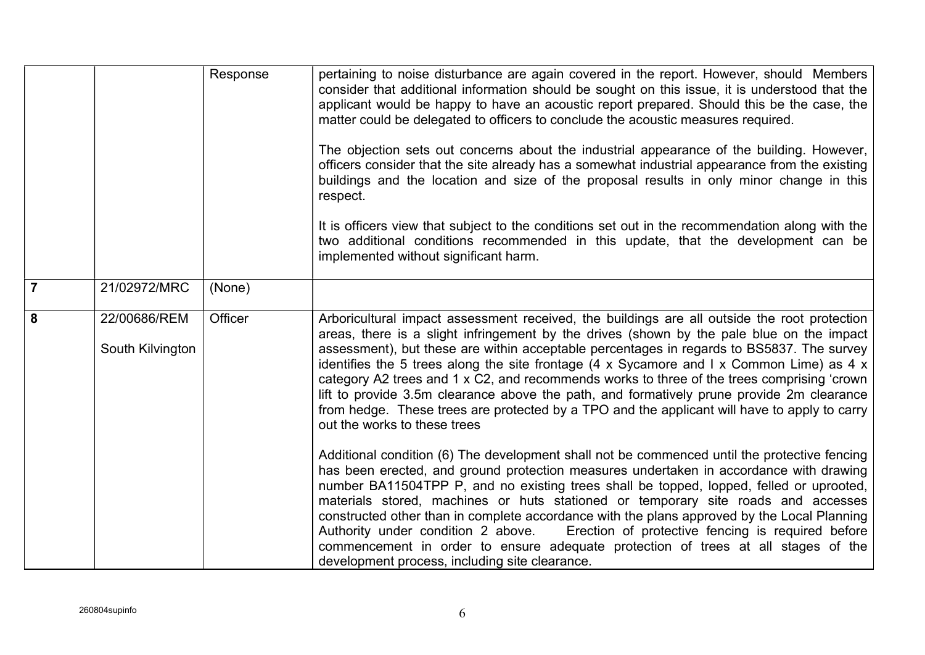|                |                                  | Response | pertaining to noise disturbance are again covered in the report. However, should Members<br>consider that additional information should be sought on this issue, it is understood that the<br>applicant would be happy to have an acoustic report prepared. Should this be the case, the<br>matter could be delegated to officers to conclude the acoustic measures required.<br>The objection sets out concerns about the industrial appearance of the building. However,<br>officers consider that the site already has a somewhat industrial appearance from the existing<br>buildings and the location and size of the proposal results in only minor change in this<br>respect.<br>It is officers view that subject to the conditions set out in the recommendation along with the<br>two additional conditions recommended in this update, that the development can be<br>implemented without significant harm.  |
|----------------|----------------------------------|----------|------------------------------------------------------------------------------------------------------------------------------------------------------------------------------------------------------------------------------------------------------------------------------------------------------------------------------------------------------------------------------------------------------------------------------------------------------------------------------------------------------------------------------------------------------------------------------------------------------------------------------------------------------------------------------------------------------------------------------------------------------------------------------------------------------------------------------------------------------------------------------------------------------------------------|
| $\overline{7}$ | 21/02972/MRC                     | (None)   |                                                                                                                                                                                                                                                                                                                                                                                                                                                                                                                                                                                                                                                                                                                                                                                                                                                                                                                        |
| 8              | 22/00686/REM<br>South Kilvington | Officer  | Arboricultural impact assessment received, the buildings are all outside the root protection<br>areas, there is a slight infringement by the drives (shown by the pale blue on the impact<br>assessment), but these are within acceptable percentages in regards to BS5837. The survey<br>identifies the 5 trees along the site frontage $(4 \times Sy$ camore and I x Common Lime) as $4 \times$<br>category A2 trees and 1 x C2, and recommends works to three of the trees comprising 'crown<br>lift to provide 3.5m clearance above the path, and formatively prune provide 2m clearance<br>from hedge. These trees are protected by a TPO and the applicant will have to apply to carry<br>out the works to these trees<br>Additional condition (6) The development shall not be commenced until the protective fencing<br>has been erected, and ground protection measures undertaken in accordance with drawing |
|                |                                  |          | number BA11504TPP P, and no existing trees shall be topped, lopped, felled or uprooted,<br>materials stored, machines or huts stationed or temporary site roads and accesses<br>constructed other than in complete accordance with the plans approved by the Local Planning<br>Authority under condition 2 above.<br>Erection of protective fencing is required before<br>commencement in order to ensure adequate protection of trees at all stages of the<br>development process, including site clearance.                                                                                                                                                                                                                                                                                                                                                                                                          |